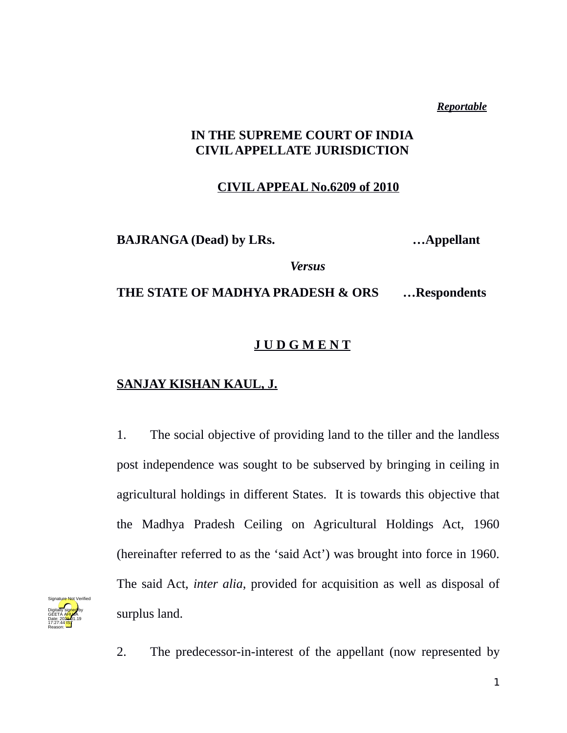*Reportable*

## **IN THE SUPREME COURT OF INDIA CIVIL APPELLATE JURISDICTION**

## **CIVIL APPEAL No.6209 of 2010**

**BAJRANGA (Dead) by LRs. …Appellant**

*Versus*

**THE STATE OF MADHYA PRADESH & ORS …Respondents**

## **J U D G M E N T**

## **SANJAY KISHAN KAUL, J.**

1. The social objective of providing land to the tiller and the landless post independence was sought to be subserved by bringing in ceiling in agricultural holdings in different States. It is towards this objective that the Madhya Pradesh Ceiling on Agricultural Holdings Act, 1960 (hereinafter referred to as the 'said Act') was brought into force in 1960. The said Act, *inter alia*, provided for acquisition as well as disposal of surplus land.



2. The predecessor-in-interest of the appellant (now represented by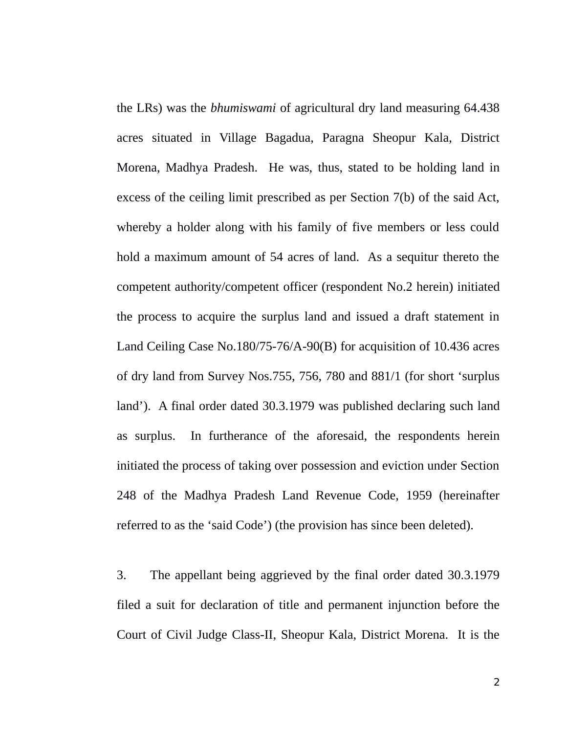the LRs) was the *bhumiswami* of agricultural dry land measuring 64.438 acres situated in Village Bagadua, Paragna Sheopur Kala, District Morena, Madhya Pradesh. He was, thus, stated to be holding land in excess of the ceiling limit prescribed as per Section 7(b) of the said Act, whereby a holder along with his family of five members or less could hold a maximum amount of 54 acres of land. As a sequitur thereto the competent authority/competent officer (respondent No.2 herein) initiated the process to acquire the surplus land and issued a draft statement in Land Ceiling Case No.180/75-76/A-90(B) for acquisition of 10.436 acres of dry land from Survey Nos.755, 756, 780 and 881/1 (for short 'surplus land'). A final order dated 30.3.1979 was published declaring such land as surplus. In furtherance of the aforesaid, the respondents herein initiated the process of taking over possession and eviction under Section 248 of the Madhya Pradesh Land Revenue Code, 1959 (hereinafter referred to as the 'said Code') (the provision has since been deleted).

3. The appellant being aggrieved by the final order dated 30.3.1979 filed a suit for declaration of title and permanent injunction before the Court of Civil Judge Class-II, Sheopur Kala, District Morena. It is the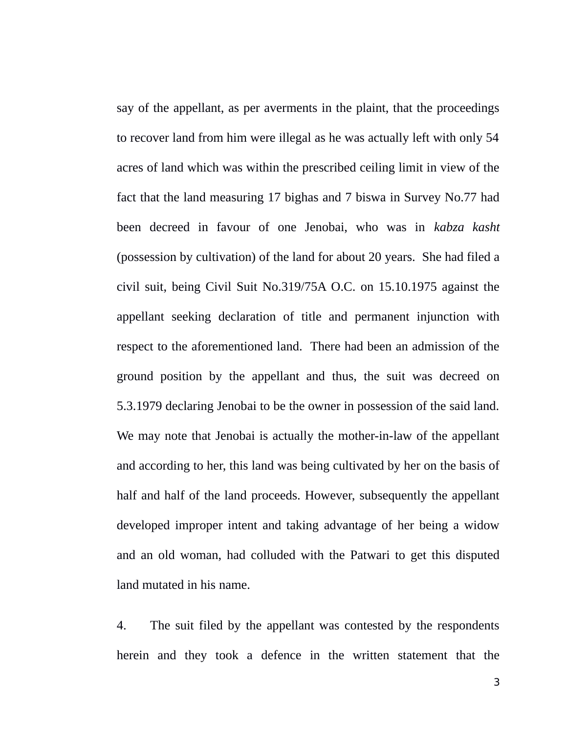say of the appellant, as per averments in the plaint, that the proceedings to recover land from him were illegal as he was actually left with only 54 acres of land which was within the prescribed ceiling limit in view of the fact that the land measuring 17 bighas and 7 biswa in Survey No.77 had been decreed in favour of one Jenobai, who was in *kabza kasht* (possession by cultivation) of the land for about 20 years. She had filed a civil suit, being Civil Suit No.319/75A O.C. on 15.10.1975 against the appellant seeking declaration of title and permanent injunction with respect to the aforementioned land. There had been an admission of the ground position by the appellant and thus, the suit was decreed on 5.3.1979 declaring Jenobai to be the owner in possession of the said land. We may note that Jenobai is actually the mother-in-law of the appellant and according to her, this land was being cultivated by her on the basis of half and half of the land proceeds. However, subsequently the appellant developed improper intent and taking advantage of her being a widow and an old woman, had colluded with the Patwari to get this disputed land mutated in his name.

4. The suit filed by the appellant was contested by the respondents herein and they took a defence in the written statement that the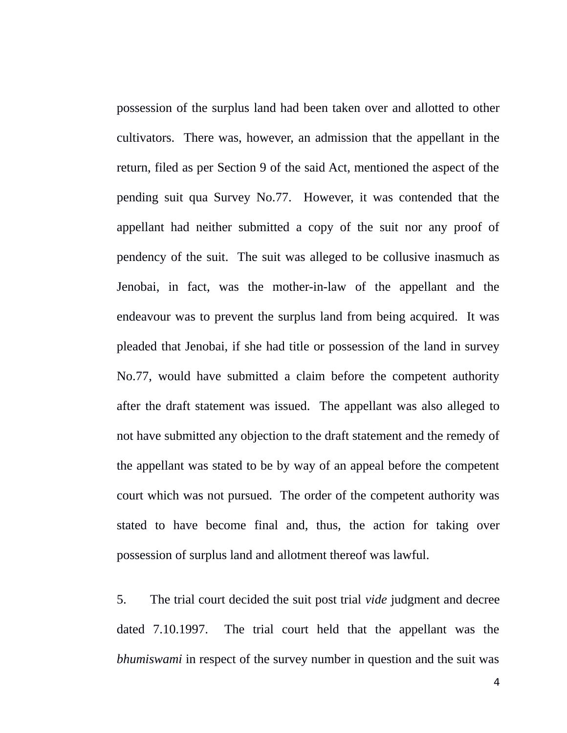possession of the surplus land had been taken over and allotted to other cultivators. There was, however, an admission that the appellant in the return, filed as per Section 9 of the said Act, mentioned the aspect of the pending suit qua Survey No.77. However, it was contended that the appellant had neither submitted a copy of the suit nor any proof of pendency of the suit. The suit was alleged to be collusive inasmuch as Jenobai, in fact, was the mother-in-law of the appellant and the endeavour was to prevent the surplus land from being acquired. It was pleaded that Jenobai, if she had title or possession of the land in survey No.77, would have submitted a claim before the competent authority after the draft statement was issued. The appellant was also alleged to not have submitted any objection to the draft statement and the remedy of the appellant was stated to be by way of an appeal before the competent court which was not pursued. The order of the competent authority was stated to have become final and, thus, the action for taking over possession of surplus land and allotment thereof was lawful.

5. The trial court decided the suit post trial *vide* judgment and decree dated 7.10.1997. The trial court held that the appellant was the *bhumiswami* in respect of the survey number in question and the suit was

4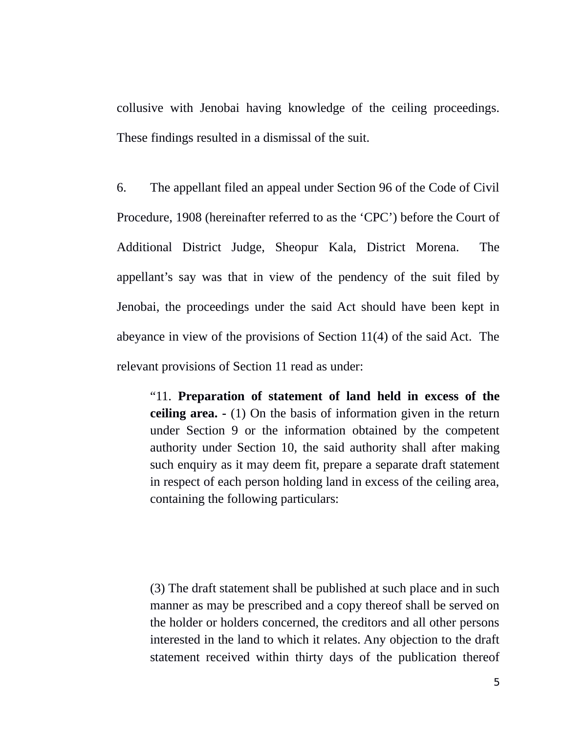collusive with Jenobai having knowledge of the ceiling proceedings. These findings resulted in a dismissal of the suit.

6. The appellant filed an appeal under Section 96 of the Code of Civil Procedure, 1908 (hereinafter referred to as the 'CPC') before the Court of Additional District Judge, Sheopur Kala, District Morena. The appellant's say was that in view of the pendency of the suit filed by Jenobai, the proceedings under the said Act should have been kept in abeyance in view of the provisions of Section 11(4) of the said Act. The relevant provisions of Section 11 read as under:

"11. **Preparation of statement of land held in excess of the ceiling area. -** (1) On the basis of information given in the return under Section 9 or the information obtained by the competent authority under Section 10, the said authority shall after making such enquiry as it may deem fit, prepare a separate draft statement in respect of each person holding land in excess of the ceiling area, containing the following particulars:

(3) The draft statement shall be published at such place and in such manner as may be prescribed and a copy thereof shall be served on the holder or holders concerned, the creditors and all other persons interested in the land to which it relates. Any objection to the draft statement received within thirty days of the publication thereof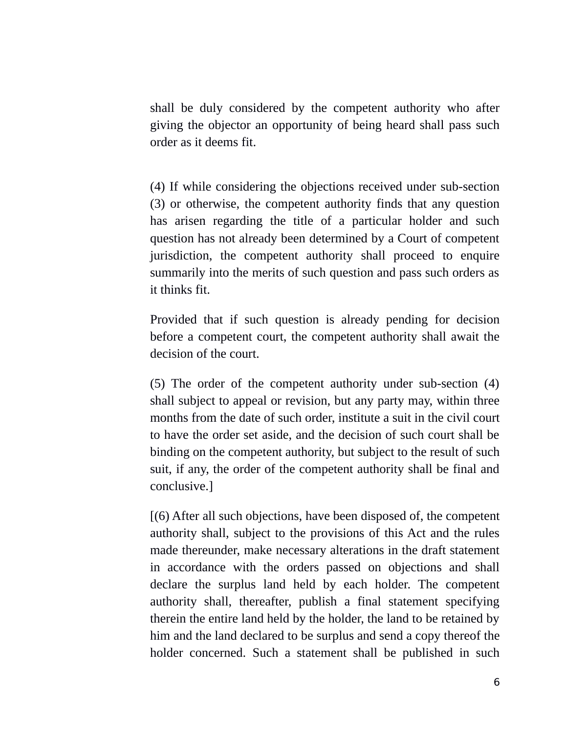shall be duly considered by the competent authority who after giving the objector an opportunity of being heard shall pass such order as it deems fit.

(4) If while considering the objections received under sub-section (3) or otherwise, the competent authority finds that any question has arisen regarding the title of a particular holder and such question has not already been determined by a Court of competent jurisdiction, the competent authority shall proceed to enquire summarily into the merits of such question and pass such orders as it thinks fit.

Provided that if such question is already pending for decision before a competent court, the competent authority shall await the decision of the court.

(5) The order of the competent authority under sub-section (4) shall subject to appeal or revision, but any party may, within three months from the date of such order, institute a suit in the civil court to have the order set aside, and the decision of such court shall be binding on the competent authority, but subject to the result of such suit, if any, the order of the competent authority shall be final and conclusive.]

[(6) After all such objections, have been disposed of, the competent authority shall, subject to the provisions of this Act and the rules made thereunder, make necessary alterations in the draft statement in accordance with the orders passed on objections and shall declare the surplus land held by each holder. The competent authority shall, thereafter, publish a final statement specifying therein the entire land held by the holder, the land to be retained by him and the land declared to be surplus and send a copy thereof the holder concerned. Such a statement shall be published in such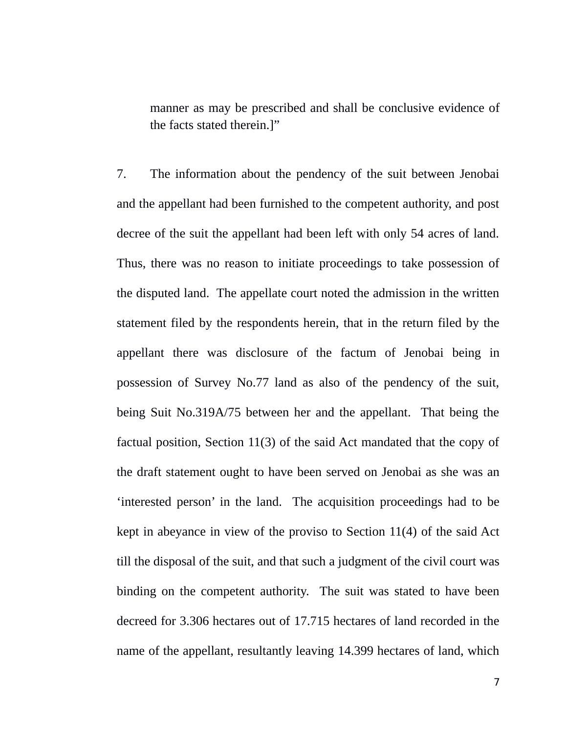manner as may be prescribed and shall be conclusive evidence of the facts stated therein.]"

7. The information about the pendency of the suit between Jenobai and the appellant had been furnished to the competent authority, and post decree of the suit the appellant had been left with only 54 acres of land. Thus, there was no reason to initiate proceedings to take possession of the disputed land. The appellate court noted the admission in the written statement filed by the respondents herein, that in the return filed by the appellant there was disclosure of the factum of Jenobai being in possession of Survey No.77 land as also of the pendency of the suit, being Suit No.319A/75 between her and the appellant. That being the factual position, Section 11(3) of the said Act mandated that the copy of the draft statement ought to have been served on Jenobai as she was an 'interested person' in the land. The acquisition proceedings had to be kept in abeyance in view of the proviso to Section 11(4) of the said Act till the disposal of the suit, and that such a judgment of the civil court was binding on the competent authority. The suit was stated to have been decreed for 3.306 hectares out of 17.715 hectares of land recorded in the name of the appellant, resultantly leaving 14.399 hectares of land, which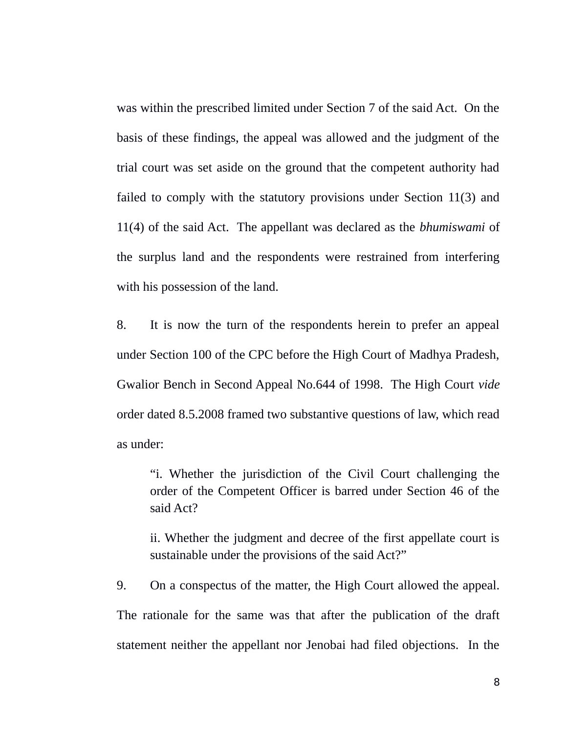was within the prescribed limited under Section 7 of the said Act. On the basis of these findings, the appeal was allowed and the judgment of the trial court was set aside on the ground that the competent authority had failed to comply with the statutory provisions under Section 11(3) and 11(4) of the said Act. The appellant was declared as the *bhumiswami* of the surplus land and the respondents were restrained from interfering with his possession of the land.

8. It is now the turn of the respondents herein to prefer an appeal under Section 100 of the CPC before the High Court of Madhya Pradesh, Gwalior Bench in Second Appeal No.644 of 1998. The High Court *vide* order dated 8.5.2008 framed two substantive questions of law, which read as under:

"i. Whether the jurisdiction of the Civil Court challenging the order of the Competent Officer is barred under Section 46 of the said Act?

ii. Whether the judgment and decree of the first appellate court is sustainable under the provisions of the said Act?"

9. On a conspectus of the matter, the High Court allowed the appeal. The rationale for the same was that after the publication of the draft statement neither the appellant nor Jenobai had filed objections. In the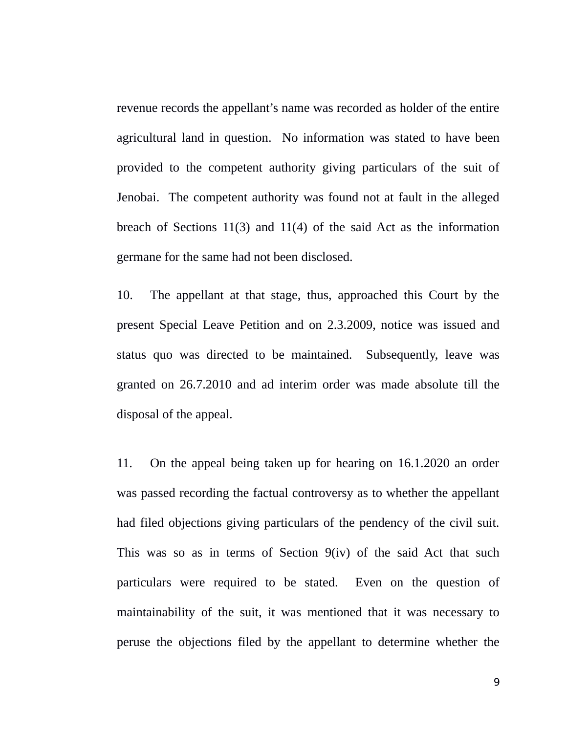revenue records the appellant's name was recorded as holder of the entire agricultural land in question. No information was stated to have been provided to the competent authority giving particulars of the suit of Jenobai. The competent authority was found not at fault in the alleged breach of Sections 11(3) and 11(4) of the said Act as the information germane for the same had not been disclosed.

10. The appellant at that stage, thus, approached this Court by the present Special Leave Petition and on 2.3.2009, notice was issued and status quo was directed to be maintained. Subsequently, leave was granted on 26.7.2010 and ad interim order was made absolute till the disposal of the appeal.

11. On the appeal being taken up for hearing on 16.1.2020 an order was passed recording the factual controversy as to whether the appellant had filed objections giving particulars of the pendency of the civil suit. This was so as in terms of Section 9(iv) of the said Act that such particulars were required to be stated. Even on the question of maintainability of the suit, it was mentioned that it was necessary to peruse the objections filed by the appellant to determine whether the

9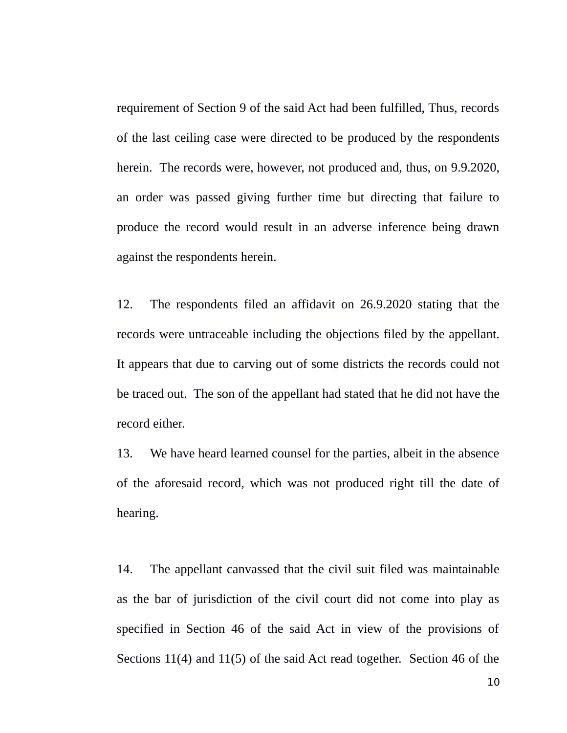requirement of Section 9 of the said Act had been fulfilled, Thus, records of the last ceiling case were directed to be produced by the respondents herein. The records were, however, not produced and, thus, on 9.9.2020, an order was passed giving further time but directing that failure to produce the record would result in an adverse inference being drawn against the respondents herein.

12. The respondents filed an affidavit on 26.9.2020 stating that the records were untraceable including the objections filed by the appellant. It appears that due to carving out of some districts the records could not be traced out. The son of the appellant had stated that he did not have the record either.

13. We have heard learned counsel for the parties, albeit in the absence of the aforesaid record, which was not produced right till the date of hearing.

14. The appellant canvassed that the civil suit filed was maintainable as the bar of jurisdiction of the civil court did not come into play as specified in Section 46 of the said Act in view of the provisions of Sections 11(4) and 11(5) of the said Act read together. Section 46 of the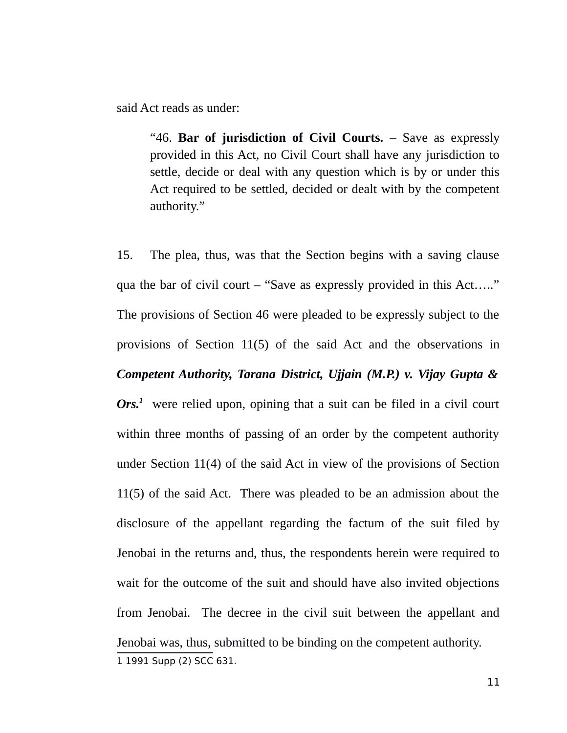said Act reads as under:

"46. **Bar of jurisdiction of Civil Courts.** – Save as expressly provided in this Act, no Civil Court shall have any jurisdiction to settle, decide or deal with any question which is by or under this Act required to be settled, decided or dealt with by the competent authority."

<span id="page-10-0"></span>15. The plea, thus, was that the Section begins with a saving clause qua the bar of civil court – "Save as expressly provided in this Act….." The provisions of Section 46 were pleaded to be expressly subject to the provisions of Section 11(5) of the said Act and the observations in *Competent Authority, Tarana District, Ujjain (M.P.) v. Vijay Gupta & Ors.[1](#page-10-0)* were relied upon, opining that a suit can be filed in a civil court within three months of passing of an order by the competent authority under Section 11(4) of the said Act in view of the provisions of Section 11(5) of the said Act. There was pleaded to be an admission about the disclosure of the appellant regarding the factum of the suit filed by Jenobai in the returns and, thus, the respondents herein were required to wait for the outcome of the suit and should have also invited objections from Jenobai. The decree in the civil suit between the appellant and Jenobai was, thus, submitted to be binding on the competent authority. 1 1991 Supp (2) SCC 631.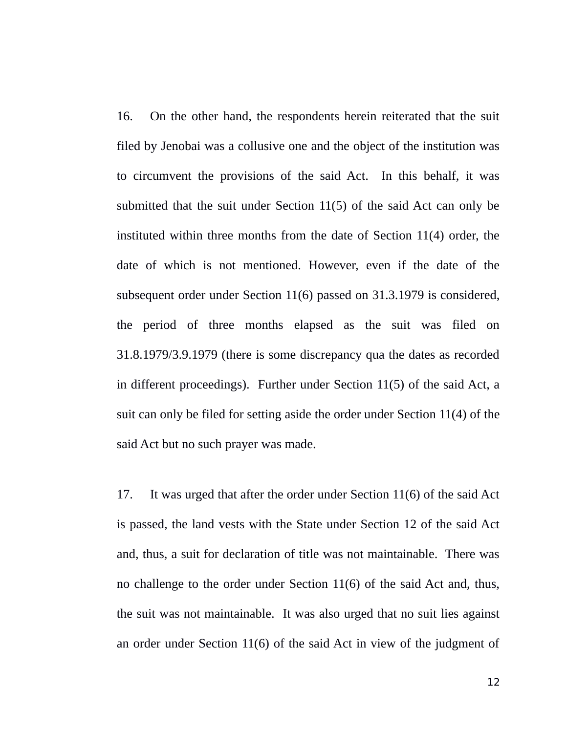16. On the other hand, the respondents herein reiterated that the suit filed by Jenobai was a collusive one and the object of the institution was to circumvent the provisions of the said Act. In this behalf, it was submitted that the suit under Section 11(5) of the said Act can only be instituted within three months from the date of Section 11(4) order, the date of which is not mentioned. However, even if the date of the subsequent order under Section 11(6) passed on 31.3.1979 is considered, the period of three months elapsed as the suit was filed on 31.8.1979/3.9.1979 (there is some discrepancy qua the dates as recorded in different proceedings). Further under Section 11(5) of the said Act, a suit can only be filed for setting aside the order under Section 11(4) of the said Act but no such prayer was made.

17. It was urged that after the order under Section 11(6) of the said Act is passed, the land vests with the State under Section 12 of the said Act and, thus, a suit for declaration of title was not maintainable. There was no challenge to the order under Section 11(6) of the said Act and, thus, the suit was not maintainable. It was also urged that no suit lies against an order under Section 11(6) of the said Act in view of the judgment of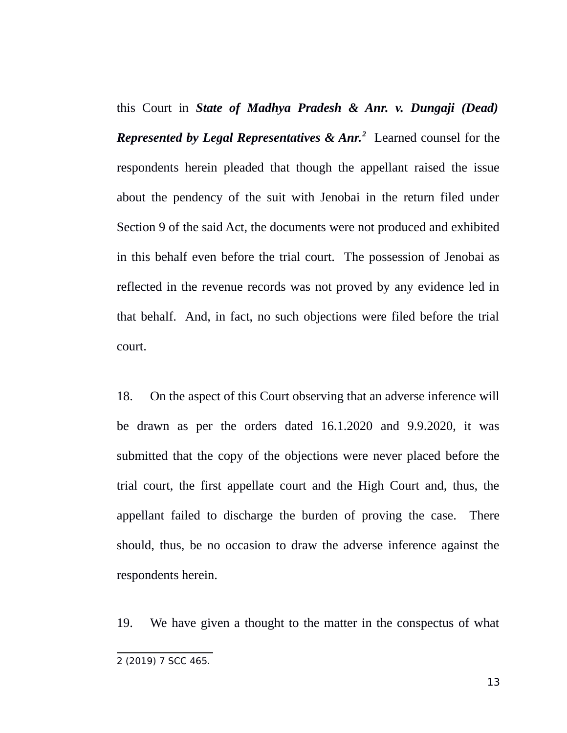this Court in *State of Madhya Pradesh & Anr. v. Dungaji (Dead) Represented by Legal Representatives & Anr.[2](#page-12-0)* Learned counsel for the respondents herein pleaded that though the appellant raised the issue about the pendency of the suit with Jenobai in the return filed under Section 9 of the said Act, the documents were not produced and exhibited in this behalf even before the trial court. The possession of Jenobai as reflected in the revenue records was not proved by any evidence led in that behalf. And, in fact, no such objections were filed before the trial court.

18. On the aspect of this Court observing that an adverse inference will be drawn as per the orders dated 16.1.2020 and 9.9.2020, it was submitted that the copy of the objections were never placed before the trial court, the first appellate court and the High Court and, thus, the appellant failed to discharge the burden of proving the case. There should, thus, be no occasion to draw the adverse inference against the respondents herein.

19. We have given a thought to the matter in the conspectus of what

<span id="page-12-0"></span>2 (2019) 7 SCC 465.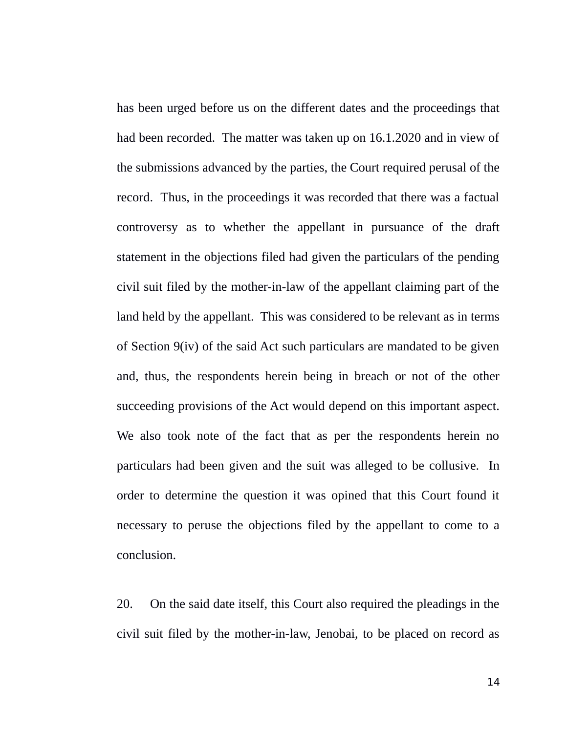has been urged before us on the different dates and the proceedings that had been recorded. The matter was taken up on 16.1.2020 and in view of the submissions advanced by the parties, the Court required perusal of the record. Thus, in the proceedings it was recorded that there was a factual controversy as to whether the appellant in pursuance of the draft statement in the objections filed had given the particulars of the pending civil suit filed by the mother-in-law of the appellant claiming part of the land held by the appellant. This was considered to be relevant as in terms of Section 9(iv) of the said Act such particulars are mandated to be given and, thus, the respondents herein being in breach or not of the other succeeding provisions of the Act would depend on this important aspect. We also took note of the fact that as per the respondents herein no particulars had been given and the suit was alleged to be collusive. In order to determine the question it was opined that this Court found it necessary to peruse the objections filed by the appellant to come to a conclusion.

20. On the said date itself, this Court also required the pleadings in the civil suit filed by the mother-in-law, Jenobai, to be placed on record as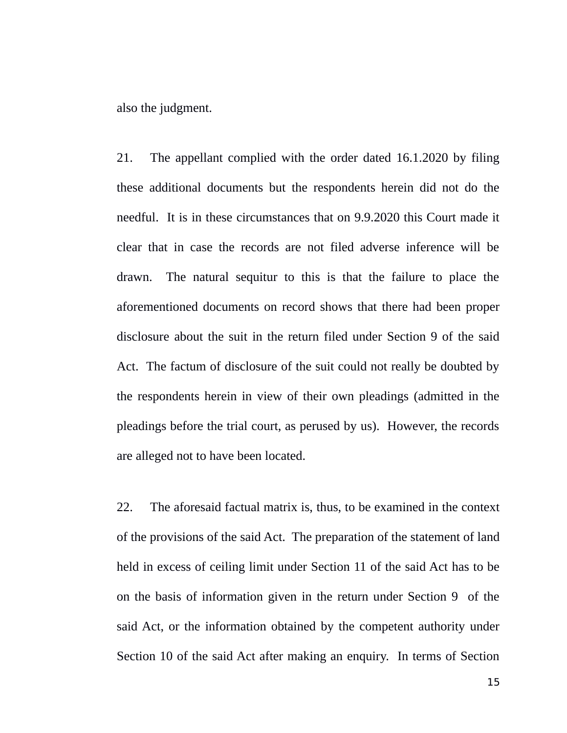also the judgment.

21. The appellant complied with the order dated 16.1.2020 by filing these additional documents but the respondents herein did not do the needful. It is in these circumstances that on 9.9.2020 this Court made it clear that in case the records are not filed adverse inference will be drawn. The natural sequitur to this is that the failure to place the aforementioned documents on record shows that there had been proper disclosure about the suit in the return filed under Section 9 of the said Act. The factum of disclosure of the suit could not really be doubted by the respondents herein in view of their own pleadings (admitted in the pleadings before the trial court, as perused by us). However, the records are alleged not to have been located.

22. The aforesaid factual matrix is, thus, to be examined in the context of the provisions of the said Act. The preparation of the statement of land held in excess of ceiling limit under Section 11 of the said Act has to be on the basis of information given in the return under Section 9 of the said Act, or the information obtained by the competent authority under Section 10 of the said Act after making an enquiry. In terms of Section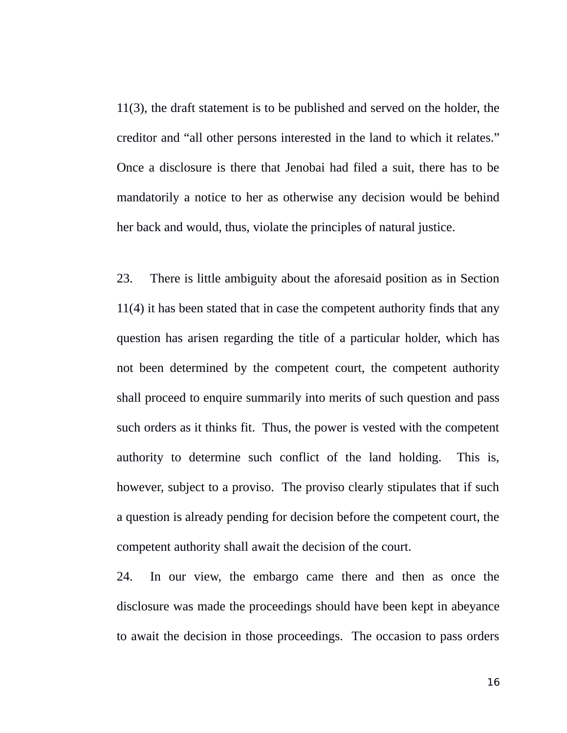11(3), the draft statement is to be published and served on the holder, the creditor and "all other persons interested in the land to which it relates." Once a disclosure is there that Jenobai had filed a suit, there has to be mandatorily a notice to her as otherwise any decision would be behind her back and would, thus, violate the principles of natural justice.

23. There is little ambiguity about the aforesaid position as in Section 11(4) it has been stated that in case the competent authority finds that any question has arisen regarding the title of a particular holder, which has not been determined by the competent court, the competent authority shall proceed to enquire summarily into merits of such question and pass such orders as it thinks fit. Thus, the power is vested with the competent authority to determine such conflict of the land holding. This is, however, subject to a proviso. The proviso clearly stipulates that if such a question is already pending for decision before the competent court, the competent authority shall await the decision of the court.

24. In our view, the embargo came there and then as once the disclosure was made the proceedings should have been kept in abeyance to await the decision in those proceedings. The occasion to pass orders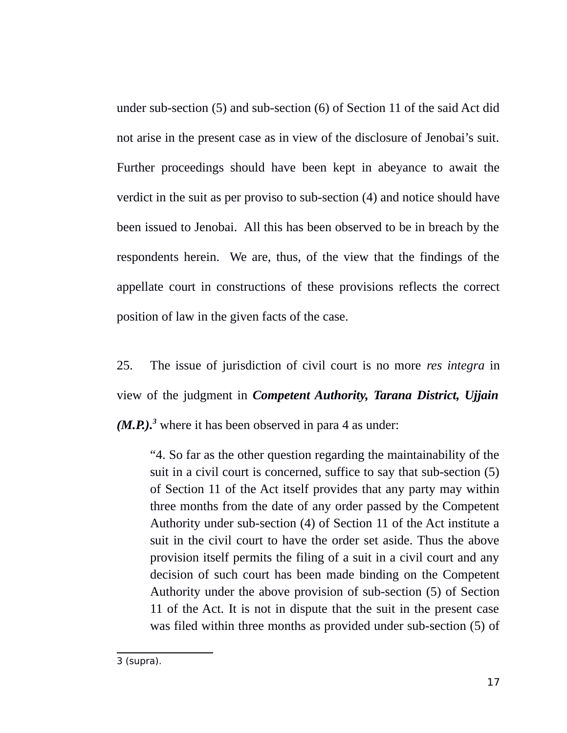under sub-section (5) and sub-section (6) of Section 11 of the said Act did not arise in the present case as in view of the disclosure of Jenobai's suit. Further proceedings should have been kept in abeyance to await the verdict in the suit as per proviso to sub-section (4) and notice should have been issued to Jenobai. All this has been observed to be in breach by the respondents herein. We are, thus, of the view that the findings of the appellate court in constructions of these provisions reflects the correct position of law in the given facts of the case.

25. The issue of jurisdiction of civil court is no more *res integra* in view of the judgment in *Competent Authority, Tarana District, Ujjain (M.P.).[3](#page-16-0)* where it has been observed in para 4 as under:

"4. So far as the other question regarding the maintainability of the suit in a civil court is concerned, suffice to say that sub-section (5) of Section 11 of the Act itself provides that any party may within three months from the date of any order passed by the Competent Authority under sub-section (4) of Section 11 of the Act institute a suit in the civil court to have the order set aside. Thus the above provision itself permits the filing of a suit in a civil court and any decision of such court has been made binding on the Competent Authority under the above provision of sub-section (5) of Section 11 of the Act. It is not in dispute that the suit in the present case was filed within three months as provided under sub-section (5) of

<span id="page-16-0"></span><sup>3 (</sup>supra).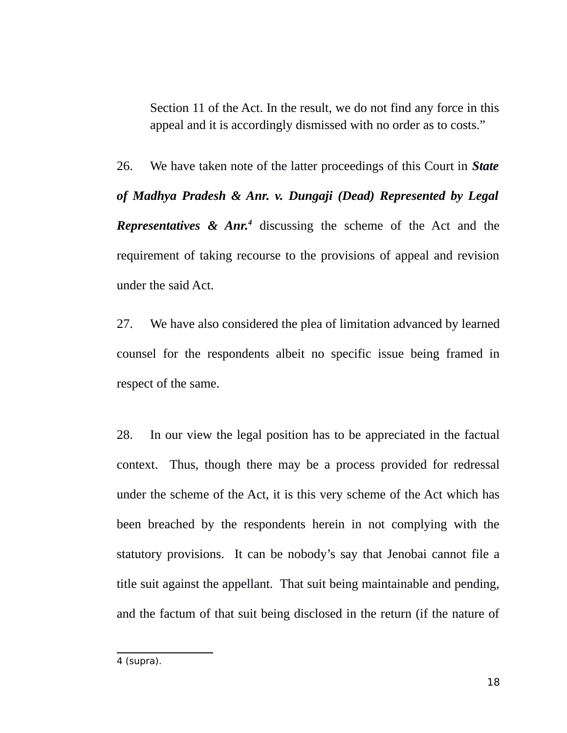Section 11 of the Act. In the result, we do not find any force in this appeal and it is accordingly dismissed with no order as to costs."

26. We have taken note of the latter proceedings of this Court in *State of Madhya Pradesh & Anr. v. Dungaji (Dead) Represented by Legal Representatives & Anr.[4](#page-17-0)* discussing the scheme of the Act and the requirement of taking recourse to the provisions of appeal and revision under the said Act.

27. We have also considered the plea of limitation advanced by learned counsel for the respondents albeit no specific issue being framed in respect of the same.

28. In our view the legal position has to be appreciated in the factual context. Thus, though there may be a process provided for redressal under the scheme of the Act, it is this very scheme of the Act which has been breached by the respondents herein in not complying with the statutory provisions. It can be nobody's say that Jenobai cannot file a title suit against the appellant. That suit being maintainable and pending, and the factum of that suit being disclosed in the return (if the nature of

<span id="page-17-0"></span><sup>4 (</sup>supra).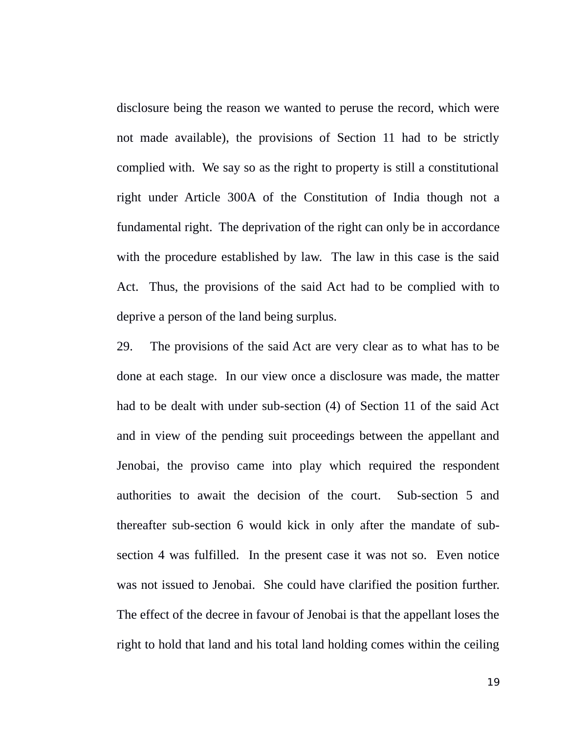disclosure being the reason we wanted to peruse the record, which were not made available), the provisions of Section 11 had to be strictly complied with. We say so as the right to property is still a constitutional right under Article 300A of the Constitution of India though not a fundamental right. The deprivation of the right can only be in accordance with the procedure established by law. The law in this case is the said Act. Thus, the provisions of the said Act had to be complied with to deprive a person of the land being surplus.

29. The provisions of the said Act are very clear as to what has to be done at each stage. In our view once a disclosure was made, the matter had to be dealt with under sub-section (4) of Section 11 of the said Act and in view of the pending suit proceedings between the appellant and Jenobai, the proviso came into play which required the respondent authorities to await the decision of the court. Sub-section 5 and thereafter sub-section 6 would kick in only after the mandate of subsection 4 was fulfilled. In the present case it was not so. Even notice was not issued to Jenobai. She could have clarified the position further. The effect of the decree in favour of Jenobai is that the appellant loses the right to hold that land and his total land holding comes within the ceiling